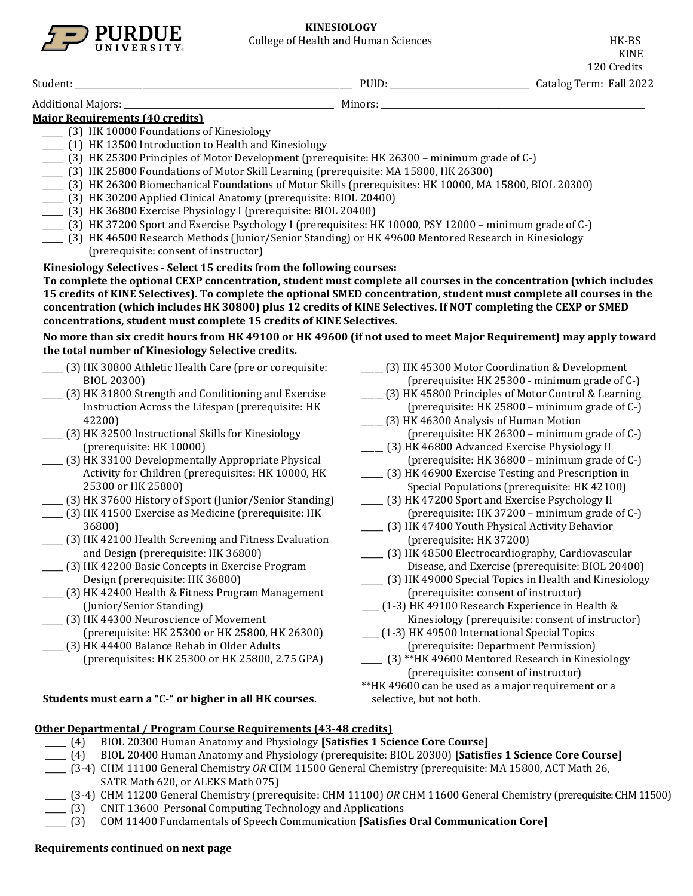

120 Credits Student: \_\_\_\_\_\_\_\_\_\_\_\_\_\_\_\_\_\_\_\_\_\_\_\_\_\_\_\_\_\_\_\_\_\_\_\_\_\_\_\_\_\_\_\_\_\_\_\_\_\_\_\_\_\_\_\_\_\_\_\_\_\_\_\_\_\_ PUID: \_\_\_\_\_\_\_\_\_\_\_\_\_\_\_\_\_\_\_\_\_\_\_\_\_\_\_\_\_\_\_\_\_ Catalog Term: Fall 2022 Additional Majors: \_\_\_\_\_\_\_\_\_\_\_\_\_\_\_\_\_\_\_\_\_\_\_\_\_\_\_\_\_\_\_\_\_\_\_\_\_\_\_\_\_\_\_\_\_\_\_\_\_\_ Minors: \_\_\_\_\_\_\_\_\_\_\_\_\_\_\_\_\_\_\_\_\_\_\_\_\_\_\_\_\_\_\_\_\_\_\_\_\_\_\_\_\_\_\_\_\_\_\_\_\_\_\_\_\_\_\_\_\_\_\_\_\_\_\_ **Major Requirements (40 credits)** \_\_\_\_\_ (3) HK 10000 Foundations of Kinesiology \_\_\_\_\_ (1) HK 13500 Introduction to Health and Kinesiology \_\_\_\_\_ (3) HK 25300 Principles of Motor Development (prerequisite: HK 26300 – minimum grade of C-) \_\_\_\_\_ (3) HK 25800 Foundations of Motor Skill Learning (prerequisite: MA 15800, HK 26300)

- \_\_\_\_\_ (3) HK 26300 Biomechanical Foundations of Motor Skills (prerequisites: HK 10000, MA 15800, BIOL 20300)
- \_\_\_\_\_ (3) HK 30200 Applied Clinical Anatomy (prerequisite: BIOL 20400)
- \_\_\_\_\_ (3) HK 36800 Exercise Physiology I (prerequisite: BIOL 20400)
- \_\_\_\_\_ (3) HK 37200 Sport and Exercise Psychology I (prerequisites: HK 10000, PSY 12000 minimum grade of C-)
- \_\_\_\_\_ (3) HK 46500 Research Methods (Junior/Senior Standing) or HK 49600 Mentored Research in Kinesiology (prerequisite: consent of instructor)

**Kinesiology Selectives - Select 15 credits from the following courses:**

**To complete the optional CEXP concentration, student must complete all courses in the concentration (which includes 15 credits of KINE Selectives). To complete the optional SMED concentration, student must complete all courses in the concentration (which includes HK 30800) plus 12 credits of KINE Selectives. If NOT completing the CEXP or SMED concentrations, student must complete 15 credits of KINE Selectives.**

**No more than six credit hours from HK 49100 or HK 49600 (if not used to meet Major Requirement) may apply toward the total number of Kinesiology Selective credits.**

- \_\_\_\_\_ (3) HK 30800 Athletic Health Care (pre or corequisite: BIOL 20300)
- \_\_\_\_\_ (3) HK 31800 Strength and Conditioning and Exercise Instruction Across the Lifespan (prerequisite: HK 42200)
- \_\_\_\_\_ (3) HK 32500 Instructional Skills for Kinesiology (prerequisite: HK 10000)
- \_\_\_\_\_ (3) HK 33100 Developmentally Appropriate Physical Activity for Children (prerequisites: HK 10000, HK 25300 or HK 25800)
- \_\_\_\_\_ (3) HK 37600 History of Sport (Junior/Senior Standing)
- \_\_\_\_\_ (3) HK 41500 Exercise as Medicine (prerequisite: HK 36800)
- \_\_\_\_\_ (3) HK 42100 Health Screening and Fitness Evaluation and Design (prerequisite: HK 36800)
- \_\_\_\_\_ (3) HK 42200 Basic Concepts in Exercise Program Design (prerequisite: HK 36800)
- \_\_\_\_\_ (3) HK 42400 Health & Fitness Program Management (Junior/Senior Standing)
- \_\_\_\_\_ (3) HK 44300 Neuroscience of Movement (prerequisite: HK 25300 or HK 25800, HK 26300)
- \_\_\_\_\_ (3) HK 44400 Balance Rehab in Older Adults (prerequisites: HK 25300 or HK 25800, 2.75 GPA)

#### **Students must earn a "C-" or higher in all HK courses.**

## \_\_\_\_\_ (3) HK 45300 Motor Coordination & Development (prerequisite: HK 25300 - minimum grade of C-)

- \_\_\_\_\_ (3) HK 45800 Principles of Motor Control & Learning (prerequisite: HK 25800 – minimum grade of C-)
- \_\_\_\_\_ (3) HK 46300 Analysis of Human Motion (prerequisite: HK 26300 – minimum grade of C-)
- \_\_\_\_\_ (3) HK 46800 Advanced Exercise Physiology II (prerequisite: HK 36800 – minimum grade of C-)
- \_\_\_\_\_ (3) HK 46900 Exercise Testing and Prescription in Special Populations (prerequisite: HK 42100)
- \_\_\_\_\_ (3) HK 47200 Sport and Exercise Psychology II (prerequisite: HK 37200 – minimum grade of C-)
- \_\_\_\_\_ (3) HK 47400 Youth Physical Activity Behavior (prerequisite: HK 37200)
- \_\_\_\_\_ (3) HK 48500 Electrocardiography, Cardiovascular Disease, and Exercise (prerequisite: BIOL 20400)
- \_\_\_\_\_ (3) HK 49000 Special Topics in Health and Kinesiology (prerequisite: consent of instructor)
- \_\_\_\_ (1-3) HK 49100 Research Experience in Health & Kinesiology (prerequisite: consent of instructor)
- \_\_\_\_ (1-3) HK 49500 International Special Topics (prerequisite: Department Permission)
- \_\_\_\_\_ (3) \*\*HK 49600 Mentored Research in Kinesiology (prerequisite: consent of instructor)
- \*\*HK 49600 can be used as a major requirement or a selective, but not both.

## **Other Departmental / Program Course Requirements (43-48 credits)**

- \_\_\_\_\_ (4) BIOL 20300 Human Anatomy and Physiology **[Satisfies 1 Science Core Course]**
- \_\_\_\_\_ (4) BIOL 20400 Human Anatomy and Physiology (prerequisite: BIOL 20300) **[Satisfies 1 Science Core Course]**
- \_\_\_\_\_ (3-4) CHM 11100 General Chemistry *OR* CHM 11500 General Chemistry (prerequisite: MA 15800, ACT Math 26,
	- SATR Math 620, or ALEKS Math 075)
- \_\_\_\_\_ (3-4) CHM 11200 General Chemistry (prerequisite: CHM 11100) *OR* CHM 11600 General Chemistry (prerequisite: CHM 11500)
- \_\_\_\_\_ (3) CNIT 13600 Personal Computing Technology and Applications
- \_\_\_\_\_ (3) COM 11400 Fundamentals of Speech Communication **[Satisfies Oral Communication Core]**

# **Requirements continued on next page**

KINE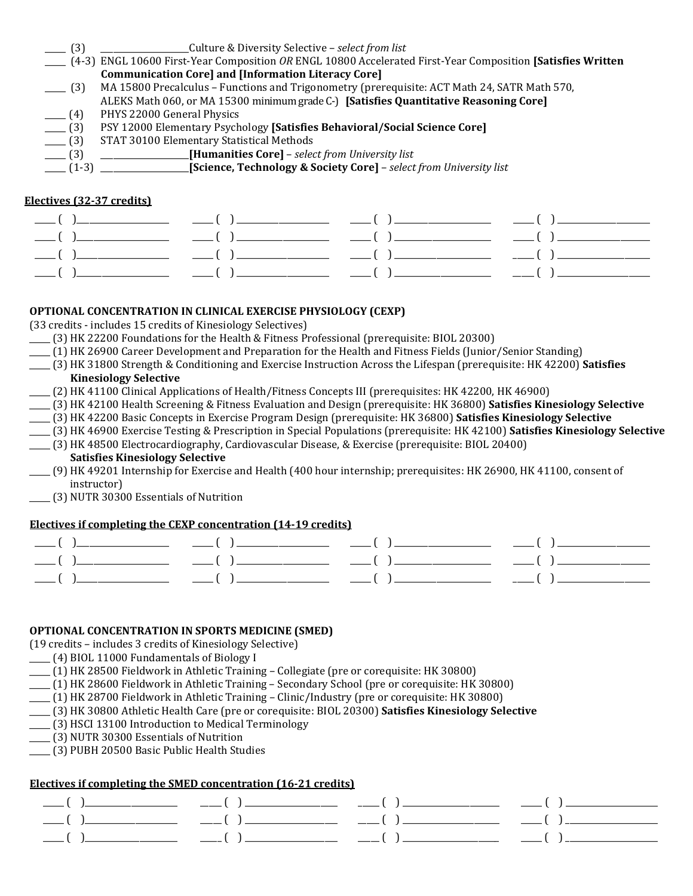| $\equiv$ (3) | Culture & Diversity Selective – select from list                                                            |
|--------------|-------------------------------------------------------------------------------------------------------------|
|              | (4-3) ENGL 10600 First-Year Composition OR ENGL 10800 Accelerated First-Year Composition [Satisfies Written |
|              | <b>Communication Core] and [Information Literacy Core]</b>                                                  |
| $- (3)$      | MA 15800 Precalculus - Functions and Trigonometry (prerequisite: ACT Math 24, SATR Math 570,                |
|              | ALEKS Math 060, or MA 15300 minimum grade C-) [Satisfies Quantitative Reasoning Core]                       |
| $-$ (4)      | PHYS 22000 General Physics                                                                                  |
| $-$ (3)      | PSY 12000 Elementary Psychology [Satisfies Behavioral/Social Science Core]                                  |
| $-$ (3)      | STAT 30100 Elementary Statistical Methods                                                                   |
| $-$ (3)      | [Humanities Core] - select from University list                                                             |
|              | [Science, Technology & Society Core] - select from University list<br>$\frac{1}{2}$ (1-3) $\frac{1}{2}$     |

#### **Electives (32-37 credits)**

#### **OPTIONAL CONCENTRATION IN CLINICAL EXERCISE PHYSIOLOGY (CEXP)**

(33 credits - includes 15 credits of Kinesiology Selectives)

- \_\_\_\_\_ (3) HK 22200 Foundations for the Health & Fitness Professional (prerequisite: BIOL 20300)
- \_\_\_\_\_ (1) HK 26900 Career Development and Preparation for the Health and Fitness Fields (Junior/Senior Standing)
- \_\_\_\_\_ (3) HK 31800 Strength & Conditioning and Exercise Instruction Across the Lifespan (prerequisite: HK 42200) **Satisfies Kinesiology Selective**
- \_\_\_\_\_ (2) HK 41100 Clinical Applications of Health/Fitness Concepts III (prerequisites: HK 42200, HK 46900)
- \_\_\_\_\_ (3) HK 42100 Health Screening & Fitness Evaluation and Design (prerequisite: HK 36800) **Satisfies Kinesiology Selective**
- \_\_\_\_\_ (3) HK 42200 Basic Concepts in Exercise Program Design (prerequisite: HK 36800) **Satisfies Kinesiology Selective**
- \_\_\_\_\_ (3) HK 46900 Exercise Testing & Prescription in Special Populations (prerequisite: HK 42100) **Satisfies Kinesiology Selective**

\_\_\_\_\_ (3) HK 48500 Electrocardiography, Cardiovascular Disease, & Exercise (prerequisite: BIOL 20400)

# **Satisfies Kinesiology Selective**

- \_\_\_\_\_ (9) HK 49201 Internship for Exercise and Health (400 hour internship; prerequisites: HK 26900, HK 41100, consent of instructor)
- \_\_\_\_\_ (3) NUTR 30300 Essentials of Nutrition

#### **Electives if completing the CEXP concentration (14-19 credits)**

|  | $\frac{1}{\sqrt{2}}$ ( ) $\frac{1}{\sqrt{2}}$ ( ) $\frac{1}{\sqrt{2}}$ ( ) $\frac{1}{\sqrt{2}}$ ( ) $\frac{1}{\sqrt{2}}$ ( ) $\frac{1}{\sqrt{2}}$ ( ) $\frac{1}{\sqrt{2}}$ |  |
|--|----------------------------------------------------------------------------------------------------------------------------------------------------------------------------|--|
|  | $\frac{1}{1}$ ( ) $\frac{1}{1}$ ( ) $\frac{1}{1}$ ( ) $\frac{1}{1}$ ( ) $\frac{1}{1}$ ( ) $\frac{1}{1}$ ( ) $\frac{1}{1}$ ( ) $\frac{1}{1}$ ( ) $\frac{1}{1}$              |  |
|  |                                                                                                                                                                            |  |

#### **OPTIONAL CONCENTRATION IN SPORTS MEDICINE (SMED)**

(19 credits – includes 3 credits of Kinesiology Selective)

- \_\_\_\_\_ (4) BIOL 11000 Fundamentals of Biology I
- \_\_\_\_\_ (1) HK 28500 Fieldwork in Athletic Training Collegiate (pre or corequisite: HK 30800)
- \_\_\_\_\_ (1) HK 28600 Fieldwork in Athletic Training Secondary School (pre or corequisite: HK 30800)
- \_\_\_\_\_ (1) HK 28700 Fieldwork in Athletic Training Clinic/Industry (pre or corequisite: HK 30800)
- \_\_\_\_\_ (3) HK 30800 Athletic Health Care (pre or corequisite: BIOL 20300) **Satisfies Kinesiology Selective**
- \_\_\_\_\_ (3) HSCI 13100 Introduction to Medical Terminology
- \_\_\_\_\_ (3) NUTR 30300 Essentials of Nutrition
- \_\_\_\_\_ (3) PUBH 20500 Basic Public Health Studies

#### **Electives if completing the SMED concentration (16-21 credits)**

|  | $\frac{1}{1}$ ( ) $\frac{1}{1}$ ( ) $\frac{1}{1}$ ( ) $\frac{1}{1}$ ( ) $\frac{1}{1}$ ( ) $\frac{1}{1}$ ( ) $\frac{1}{1}$ |  |
|--|---------------------------------------------------------------------------------------------------------------------------|--|
|  |                                                                                                                           |  |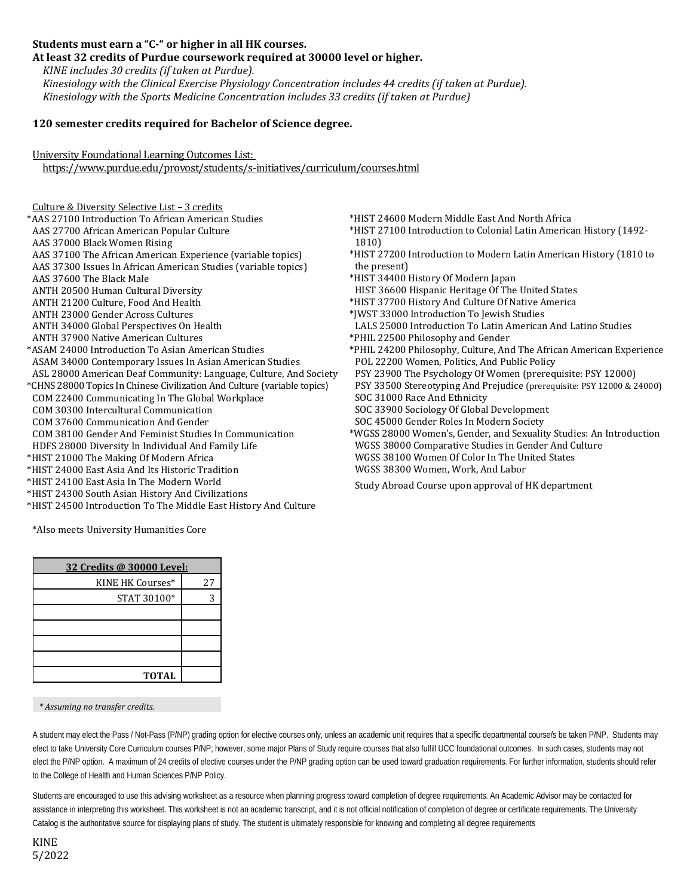### **Students must earn a "C-" or higher in all HK courses.**

**At least 32 credits of Purdue coursework required at 30000 level or higher.** 

*KINE includes 30 credits (if taken at Purdue). Kinesiology with the Clinical Exercise Physiology Concentration includes 44 credits (if taken at Purdue). Kinesiology with the Sports Medicine Concentration includes 33 credits (if taken at Purdue)*

#### **120 semester credits required for Bachelor of Science degree.**

University Foundational Learning Outcomes List:

<https://www.purdue.edu/provost/students/s-initiatives/curriculum/courses.html>

- Culture & Diversity Selective List 3 credits \*AAS 27100 Introduction To African American Studies AAS 27700 African American Popular Culture AAS 37000 Black Women Rising AAS 37100 The African American Experience (variable topics) AAS 37300 Issues In African American Studies (variable topics) AAS 37600 The Black Male ANTH 20500 Human Cultural Diversity ANTH 21200 Culture, Food And Health ANTH 23000 Gender Across Cultures ANTH 34000 Global Perspectives On Health ANTH 37900 Native American Cultures \*ASAM 24000 Introduction To Asian American Studies ASAM 34000 Contemporary Issues In Asian American Studies ASL 28000 American Deaf Community: Language, Culture, And Society \*CHNS 28000 Topics In Chinese Civilization And Culture (variable topics) COM 22400 Communicating In The Global Workplace COM 30300 Intercultural Communication COM 37600 Communication And Gender COM 38100 Gender And Feminist Studies In Communication HDFS 28000 Diversity In Individual And Family Life \*HIST 21000 The Making Of Modern Africa \*HIST 24000 East Asia And Its Historic Tradition \*HIST 24100 East Asia In The Modern World
- \*HIST 24300 South Asian History And Civilizations
- \*HIST 24500 Introduction To The Middle East History And Culture
- \*HIST 24600 Modern Middle East And North Africa
- \*HIST 27100 Introduction to Colonial Latin American History (1492- 1810)
- \*HIST 27200 Introduction to Modern Latin American History (1810 to the present)
- \*HIST 34400 History Of Modern Japan
- HIST 36600 Hispanic Heritage Of The United States
- \*HIST 37700 History And Culture Of Native America
- \*JWST 33000 Introduction To Jewish Studies
- LALS 25000 Introduction To Latin American And Latino Studies \*PHIL 22500 Philosophy and Gender
- \*PHIL 24200 Philosophy, Culture, And The African American Experience POL 22200 Women, Politics, And Public Policy
- PSY 23900 The Psychology Of Women (prerequisite: PSY 12000)
- PSY 33500 Stereotyping And Prejudice (prerequisite: PSY 12000 & 24000) SOC 31000 Race And Ethnicity
- SOC 33900 Sociology Of Global Development
- SOC 45000 Gender Roles In Modern Society
- \*WGSS 28000 Women's, Gender, and Sexuality Studies: An Introduction WGSS 38000 Comparative Studies in Gender And Culture WGSS 38100 Women Of Color In The United States WGSS 38300 Women, Work, And Labor
- Study Abroad Course upon approval of HK department

\*Also meets University Humanities Core

| 32 Credits @ 30000 Level: |    |  |  |  |
|---------------------------|----|--|--|--|
| KINE HK Courses*          | 27 |  |  |  |
| STAT 30100*               |    |  |  |  |
|                           |    |  |  |  |
|                           |    |  |  |  |
|                           |    |  |  |  |
|                           |    |  |  |  |
| <b>TOTAL</b>              |    |  |  |  |

*\* Assuming no transfer credits.*

A student may elect the Pass / Not-Pass (P/NP) grading option for elective courses only, unless an academic unit requires that a specific departmental course/s be taken P/NP. Students may elect to take University Core Curriculum courses P/NP; however, some major Plans of Study require courses that also fulfill UCC foundational outcomes. In such cases, students may not elect the P/NP option. A maximum of 24 credits of elective courses under the P/NP grading option can be used toward graduation requirements. For further information, students should refer to the College of Health and Human Sciences P/NP Policy.

Students are encouraged to use this advising worksheet as a resource when planning progress toward completion of degree requirements. An Academic Advisor may be contacted for assistance in interpreting this worksheet. This worksheet is not an academic transcript, and it is not official notification of completion of degree or certificate requirements. The University Catalog is the authoritative source for displaying plans of study. The student is ultimately responsible for knowing and completing all degree requirements

KINE 5/2022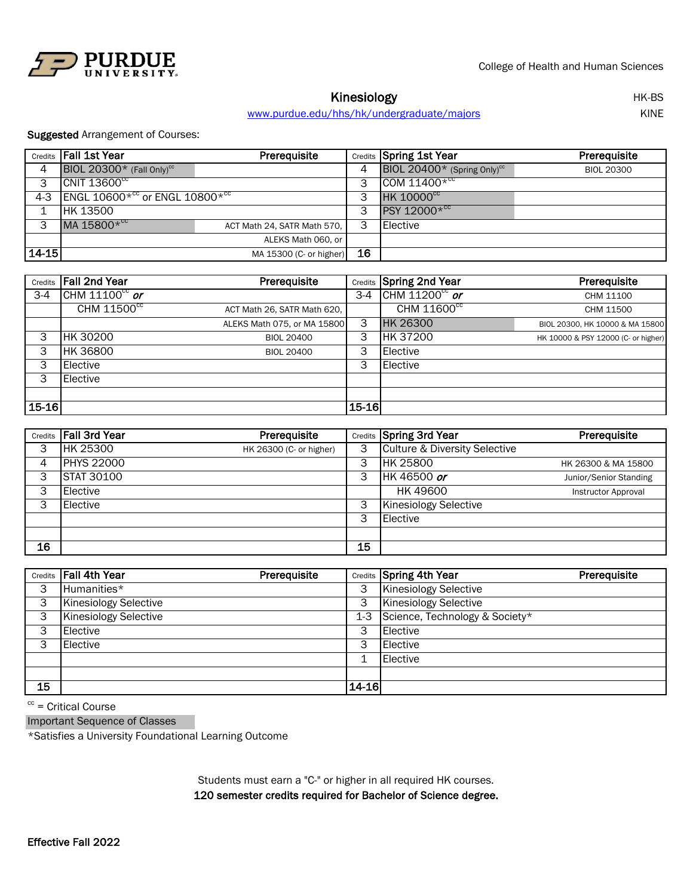

Kinesiology<br>
https://www.indergraduate/majors/html //www.index.com/html //www.index.com/html //www.index.com/html //www.in<br>
HK-BS/html //www.index.com/html //www.index.com/html //www.index.com/html //www.index.com/html //w [www.purdue.edu/hhs/hk/under](http://www.purdue.edu/hhs/hk/undergraduate/majors)graduate/majors

Suggested Arrangement of Courses:

|       | Credits   Fall 1st Year                  | Prerequisite                |    | Credits Spring 1st Year                 | Prerequisite      |
|-------|------------------------------------------|-----------------------------|----|-----------------------------------------|-------------------|
| 4     | BIOL 20300 $*$ (Fall Only) <sup>cc</sup> |                             |    | BIOL 20400* (Spring Only) <sup>cc</sup> | <b>BIOL 20300</b> |
| 3     | CNIT $13600^{\circ}$                     |                             | 3  | COM $11400*cc$                          |                   |
| 4-3   | ENGL $10600*^{cc}$ or ENGL $10800*^{cc}$ |                             | 3  | <b>HK 10000<sup>cc</sup></b>            |                   |
| 4     | <b>HK 13500</b>                          |                             | 3  | PSY 12000* <sup>cc</sup>                |                   |
| 3     | MA 15800* <sup>cc</sup>                  | ACT Math 24, SATR Math 570, | 3  | Elective                                |                   |
|       |                                          | ALEKS Math 060, or          |    |                                         |                   |
| 14-15 |                                          | MA 15300 (C- or higher)     | 16 |                                         |                   |

|           | <b>Credits</b> Fall 2nd Year | Prerequisite                |       | <b>Credits</b> Spring 2nd Year | Prerequisite                        |
|-----------|------------------------------|-----------------------------|-------|--------------------------------|-------------------------------------|
| $3-4$     | CHM $11100^{\circ c}$ or     |                             | $3-4$ | $CHM 11200cc$ or               | CHM 11100                           |
|           | CHM 11500 <sup>cc</sup>      | ACT Math 26, SATR Math 620, |       | CHM 11600 <sup>cc</sup>        | CHM 11500                           |
|           |                              | ALEKS Math 075, or MA 15800 | 3     | <b>HK 26300</b>                | BIOL 20300. HK 10000 & MA 15800     |
| 3         | <b>HK 30200</b>              | <b>BIOL 20400</b>           | 3     | HK 37200                       | HK 10000 & PSY 12000 (C- or higher) |
| 3         | <b>HK 36800</b>              | <b>BIOL 20400</b>           | 3     | Elective                       |                                     |
| 3         | <b>Elective</b>              |                             | 3     | Elective                       |                                     |
| 3         | <b>Elective</b>              |                             |       |                                |                                     |
|           |                              |                             |       |                                |                                     |
| $15 - 16$ |                              |                             | 15-16 |                                |                                     |

|    | Credits   Fall 3rd Year | Prerequisite            |    | Credits Spring 3rd Year                  | Prerequisite               |
|----|-------------------------|-------------------------|----|------------------------------------------|----------------------------|
| 3  | <b>HK 25300</b>         | HK 26300 (C- or higher) |    | <b>Culture &amp; Diversity Selective</b> |                            |
| 4  | <b>PHYS 22000</b>       |                         | 3  | <b>HK 25800</b>                          | HK 26300 & MA 15800        |
| 3  | <b>STAT 30100</b>       |                         | 3  | HK 46500 or                              | Junior/Senior Standing     |
| 3  | Elective                |                         |    | HK 49600                                 | <b>Instructor Approval</b> |
| 3  | Elective                |                         | 3  | <b>Kinesiology Selective</b>             |                            |
|    |                         |                         | 3  | Elective                                 |                            |
|    |                         |                         |    |                                          |                            |
| 16 |                         |                         | 15 |                                          |                            |

|    | Credits Fall 4th Year        | Prerequisite |         | Credits Spring 4th Year        | Prerequisite |
|----|------------------------------|--------------|---------|--------------------------------|--------------|
| 3  | Humanities*                  |              | 3       | <b>Kinesiology Selective</b>   |              |
| 3  | <b>Kinesiology Selective</b> |              | 3       | Kinesiology Selective          |              |
| 3  | <b>Kinesiology Selective</b> |              | $1-3$   | Science, Technology & Society* |              |
| 3  | Elective                     |              | 3       | Elective                       |              |
| 3  | Elective                     |              | 3       | Elective                       |              |
|    |                              |              |         | Elective                       |              |
|    |                              |              |         |                                |              |
| 15 |                              |              | $14-16$ |                                |              |

 $cc =$  Critical Course

Important Sequence of Classes

\*Satisfies a University Foundational Learning Outcome

120 semester credits required for Bachelor of Science degree. Students must earn a "C-" or higher in all required HK courses.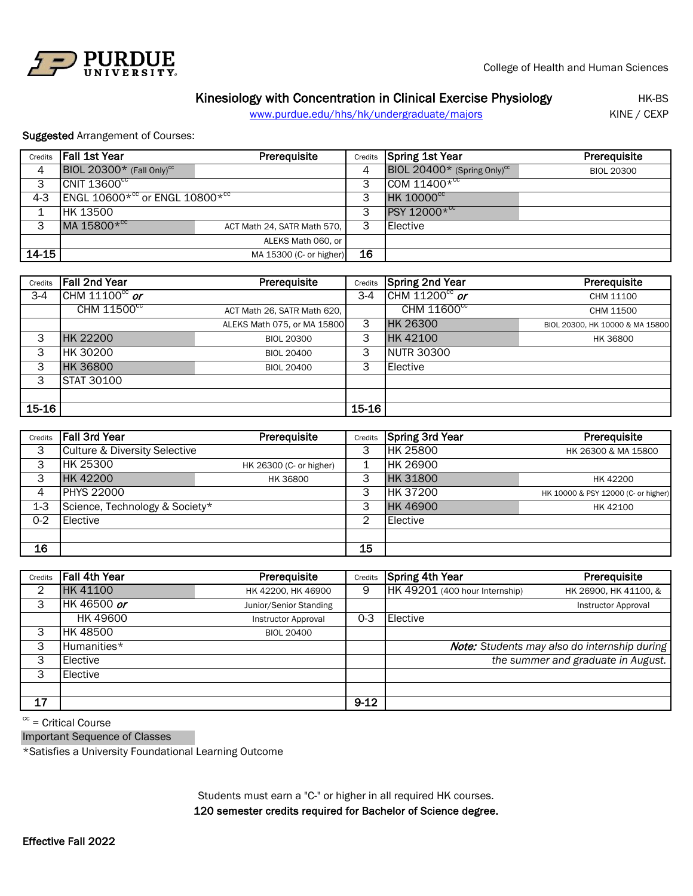

## Kinesiology with Concentration in Clinical Exercise Physiology **HIK-BS**

[www.purdue.edu/hhs/hk/underg](http://www.purdue.edu/hhs/hk/undergraduate/majors)raduate/majors KINE / CEXP

Suggested Arrangement of Courses:

| Credits | l Fall 1st Year                            | <b>Prerequisite</b>         | Credits | Spring 1st Year                            | Prerequisite      |
|---------|--------------------------------------------|-----------------------------|---------|--------------------------------------------|-------------------|
| 4       | BIOL 20300* (Fall Only) <sup>cc</sup>      |                             | 4       | BIOL 20400* (Spring Only) $\mathrm{^{cc}}$ | <b>BIOL 20300</b> |
| 3       | $\overline{CNIT}$ 13600 $\overline{cc}$    |                             | 3       | $COM 11400*cc$                             |                   |
| $4 - 3$ | ENGL 10600 $*^{cc}$ or ENGL 10800 $*^{cc}$ |                             | 3       | <b>HK 10000<sup>cc</sup></b>               |                   |
|         | HK 13500                                   |                             | 3       | PSY 12000* <sup>cc</sup>                   |                   |
| 3       | MA 15800* <sup>cc</sup>                    | ACT Math 24, SATR Math 570, | 3       | Elective                                   |                   |
|         |                                            | ALEKS Math 060, or          |         |                                            |                   |
| 14-15   |                                            | MA 15300 (C- or higher)     | 16      |                                            |                   |

| Credits | <b>Fall 2nd Year</b>     | Prerequisite                | Credits | <b>Spring 2nd Year</b>   | Prerequisite                    |
|---------|--------------------------|-----------------------------|---------|--------------------------|---------------------------------|
| $3-4$   | CHM $11100^{\circ c}$ or |                             | $3-4$   | CHM $11200^\text{cc}$ or | CHM 11100                       |
|         | CHM 11500 <sup>cc</sup>  | ACT Math 26, SATR Math 620, |         | CHM 11600 <sup>cc</sup>  | CHM 11500                       |
|         |                          | ALEKS Math 075, or MA 15800 | 3       | <b>HK 26300</b>          | BIOL 20300, HK 10000 & MA 15800 |
| 3       | <b>HK 22200</b>          | <b>BIOL 20300</b>           | 3       | <b>HK42100</b>           | HK 36800                        |
| 3       | HK 30200                 | <b>BIOL 20400</b>           | 3       | <b>NUTR 30300</b>        |                                 |
| 3       | <b>HK 36800</b>          | <b>BIOL 20400</b>           | 3       | <b>Elective</b>          |                                 |
| 3       | <b>STAT 30100</b>        |                             |         |                          |                                 |
|         |                          |                             |         |                          |                                 |
| $15-16$ |                          |                             | 15-16   |                          |                                 |

| Credits | <b>Fall 3rd Year</b>                     | Prerequisite            | Credits | <b>Spring 3rd Year</b> | Prerequisite                        |
|---------|------------------------------------------|-------------------------|---------|------------------------|-------------------------------------|
| 3       | <b>Culture &amp; Diversity Selective</b> |                         | 3       | HK 25800               | HK 26300 & MA 15800                 |
| 3       | <b>HK 25300</b>                          | HK 26300 (C- or higher) |         | <b>HK 26900</b>        |                                     |
| 3       | HK 42200                                 | HK 36800                | 3       | <b>HK31800</b>         | HK 42200                            |
| 4       | <b>PHYS 22000</b>                        |                         | 3       | HK 37200               | HK 10000 & PSY 12000 (C- or higher) |
| 1-3     | Science, Technology & Society*           |                         | 3       | <b>HK46900</b>         | HK 42100                            |
| $0 - 2$ | Elective                                 |                         | 2       | Elective               |                                     |
|         |                                          |                         |         |                        |                                     |
| 16      |                                          |                         | 15      |                        |                                     |

| Credits | Fall 4th Year   | Prerequisite               | Credits  | Spring 4th Year                | Prerequisite                                        |
|---------|-----------------|----------------------------|----------|--------------------------------|-----------------------------------------------------|
| 2       | <b>HK 41100</b> | HK 42200, HK 46900         | 9        | HK 49201 (400 hour Internship) | HK 26900, HK 41100, &                               |
| 3       | HK 46500 or     | Junior/Senior Standing     |          |                                | <b>Instructor Approval</b>                          |
|         | <b>HK 49600</b> | <b>Instructor Approval</b> | $0 - 3$  | Elective                       |                                                     |
| 3       | <b>HK 48500</b> | <b>BIOL 20400</b>          |          |                                |                                                     |
| 3       | Humanities*     |                            |          |                                | <b>Note:</b> Students may also do internship during |
| 3       | Elective        |                            |          |                                | the summer and graduate in August.                  |
| 3       | Elective        |                            |          |                                |                                                     |
|         |                 |                            |          |                                |                                                     |
| 17      |                 |                            | $9 - 12$ |                                |                                                     |

 $cc =$  Critical Course

Important Sequence of Classes

\*Satisfies a University Foundational Learning Outcome

120 semester credits required for Bachelor of Science degree. Students must earn a "C-" or higher in all required HK courses.